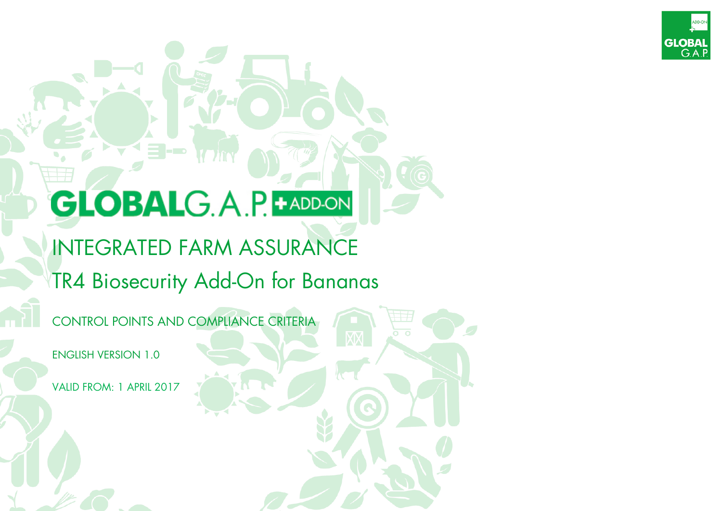

# **GLOBALG.A.P. + ADD-ON**

= -

# INTEGRATED FARM ASSURANCE TR4 Biosecurity Add-On for Bananas

CONTROL POINTS AND COMPLIANCE CRITERIA

ENGLISH VERSION 1.0

VALID FROM: 1 APRIL 2017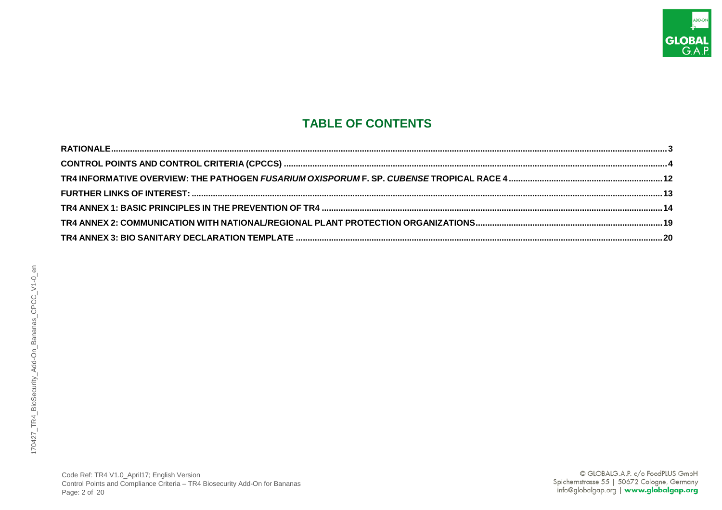

# **TABLE OF CONTENTS**

| TR4 ANNEX 2: COMMUNICATION WITH NATIONAL/REGIONAL PLANT PROTECTION ORGANIZATIONS…………………………………………………………………………19 |
|----------------------------------------------------------------------------------------------------------------|
|                                                                                                                |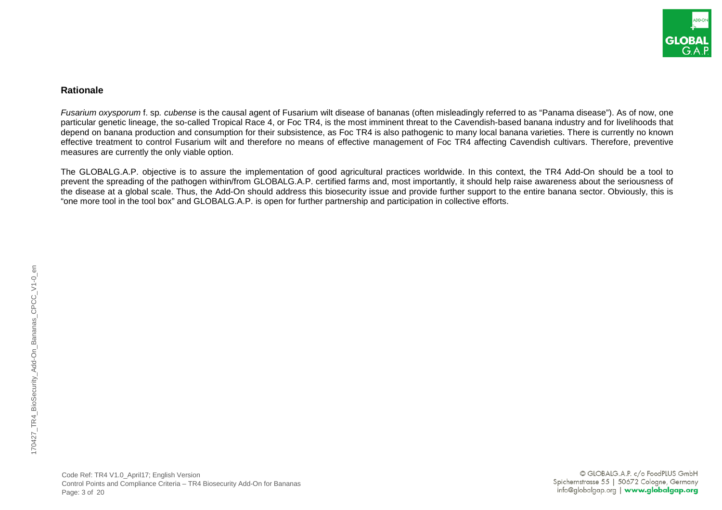

#### <span id="page-2-0"></span>**Rationale**

*Fusarium oxysporum* f. sp*. cubense* is the causal agent of Fusarium wilt disease of bananas (often misleadingly referred to as "Panama disease"). As of now, one particular genetic lineage, the so-called Tropical Race 4, or Foc TR4, is the most imminent threat to the Cavendish-based banana industry and for livelihoods that depend on banana production and consumption for their subsistence, as Foc TR4 is also pathogenic to many local banana varieties. There is currently no known effective treatment to control Fusarium wilt and therefore no means of effective management of Foc TR4 affecting Cavendish cultivars. Therefore, preventive measures are currently the only viable option.

The GLOBALG.A.P. objective is to assure the implementation of good agricultural practices worldwide. In this context, the TR4 Add-On should be a tool to prevent the spreading of the pathogen within/from GLOBALG.A.P. certified farms and, most importantly, it should help raise awareness about the seriousness of the disease at a global scale. Thus, the Add-On should address this biosecurity issue and provide further support to the entire banana sector. Obviously, this is "one more tool in the tool box" and GLOBALG.A.P. is open for further partnership and participation in collective efforts.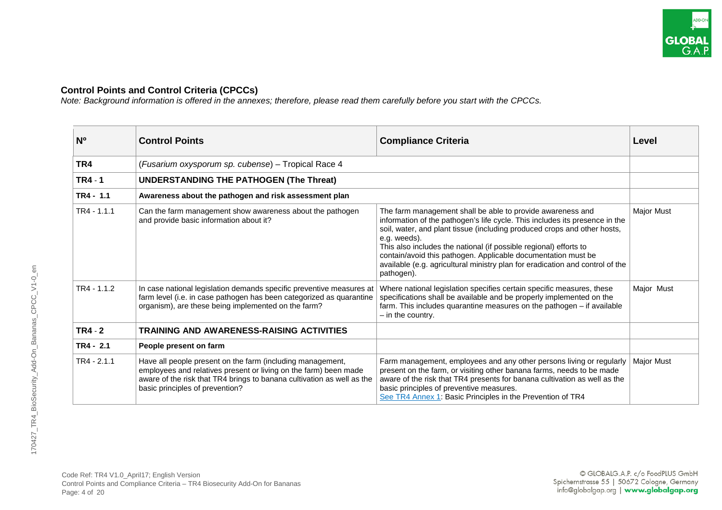

## <span id="page-3-0"></span>**Control Points and Control Criteria (CPCCs)**

*Note: Background information is offered in the annexes; therefore, please read them carefully before you start with the CPCCs.*

| N <sub>0</sub> | <b>Control Points</b>                                                                                                                                                                                                                       | <b>Compliance Criteria</b>                                                                                                                                                                                                                                                                                                                                                                                                                                                 | Level             |
|----------------|---------------------------------------------------------------------------------------------------------------------------------------------------------------------------------------------------------------------------------------------|----------------------------------------------------------------------------------------------------------------------------------------------------------------------------------------------------------------------------------------------------------------------------------------------------------------------------------------------------------------------------------------------------------------------------------------------------------------------------|-------------------|
| TR4            | (Fusarium oxysporum sp. cubense) - Tropical Race 4                                                                                                                                                                                          |                                                                                                                                                                                                                                                                                                                                                                                                                                                                            |                   |
| <b>TR4 - 1</b> | <b>UNDERSTANDING THE PATHOGEN (The Threat)</b>                                                                                                                                                                                              |                                                                                                                                                                                                                                                                                                                                                                                                                                                                            |                   |
| TR4 - 1.1      | Awareness about the pathogen and risk assessment plan                                                                                                                                                                                       |                                                                                                                                                                                                                                                                                                                                                                                                                                                                            |                   |
| TR4 - 1.1.1    | Can the farm management show awareness about the pathogen<br>and provide basic information about it?                                                                                                                                        | The farm management shall be able to provide awareness and<br>information of the pathogen's life cycle. This includes its presence in the<br>soil, water, and plant tissue (including produced crops and other hosts,<br>e.g. weeds).<br>This also includes the national (if possible regional) efforts to<br>contain/avoid this pathogen. Applicable documentation must be<br>available (e.g. agricultural ministry plan for eradication and control of the<br>pathogen). | <b>Major Must</b> |
| $TR4 - 1.1.2$  | In case national legislation demands specific preventive measures at<br>farm level (i.e. in case pathogen has been categorized as quarantine<br>organism), are these being implemented on the farm?                                         | Where national legislation specifies certain specific measures, these<br>specifications shall be available and be properly implemented on the<br>farm. This includes quarantine measures on the pathogen - if available<br>$-$ in the country.                                                                                                                                                                                                                             | Major Must        |
| <b>TR4 - 2</b> | <b>TRAINING AND AWARENESS-RAISING ACTIVITIES</b>                                                                                                                                                                                            |                                                                                                                                                                                                                                                                                                                                                                                                                                                                            |                   |
| $TR4 - 2.1$    | People present on farm                                                                                                                                                                                                                      |                                                                                                                                                                                                                                                                                                                                                                                                                                                                            |                   |
| $TR4 - 2.1.1$  | Have all people present on the farm (including management,<br>employees and relatives present or living on the farm) been made<br>aware of the risk that TR4 brings to banana cultivation as well as the<br>basic principles of prevention? | Farm management, employees and any other persons living or regularly<br>present on the farm, or visiting other banana farms, needs to be made<br>aware of the risk that TR4 presents for banana cultivation as well as the<br>basic principles of preventive measures.<br>See TR4 Annex 1: Basic Principles in the Prevention of TR4                                                                                                                                       | <b>Major Must</b> |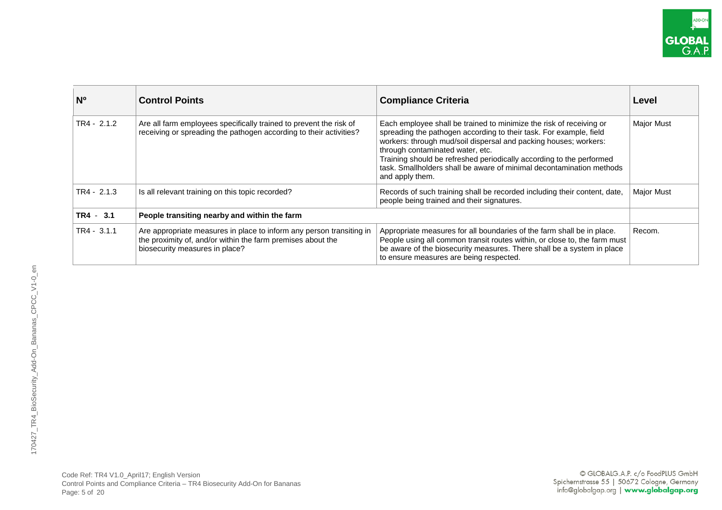| N <sup>o</sup> | <b>Control Points</b>                                                                                                                                                 | <b>Compliance Criteria</b>                                                                                                                                                                                                                                                                                                                                                                                           | Level             |
|----------------|-----------------------------------------------------------------------------------------------------------------------------------------------------------------------|----------------------------------------------------------------------------------------------------------------------------------------------------------------------------------------------------------------------------------------------------------------------------------------------------------------------------------------------------------------------------------------------------------------------|-------------------|
| $TR4 - 2.1.2$  | Are all farm employees specifically trained to prevent the risk of<br>receiving or spreading the pathogen according to their activities?                              | Each employee shall be trained to minimize the risk of receiving or<br>spreading the pathogen according to their task. For example, field<br>workers: through mud/soil dispersal and packing houses; workers:<br>through contaminated water, etc.<br>Training should be refreshed periodically according to the performed<br>task. Smallholders shall be aware of minimal decontamination methods<br>and apply them. | <b>Major Must</b> |
| $TR4 - 2.1.3$  | Is all relevant training on this topic recorded?                                                                                                                      | Records of such training shall be recorded including their content, date,<br>people being trained and their signatures.                                                                                                                                                                                                                                                                                              | <b>Major Must</b> |
| $TR4 - 3.1$    | People transiting nearby and within the farm                                                                                                                          |                                                                                                                                                                                                                                                                                                                                                                                                                      |                   |
| $TR4 - 3.1.1$  | Are appropriate measures in place to inform any person transiting in<br>the proximity of, and/or within the farm premises about the<br>biosecurity measures in place? | Appropriate measures for all boundaries of the farm shall be in place.<br>People using all common transit routes within, or close to, the farm must<br>be aware of the biosecurity measures. There shall be a system in place<br>to ensure measures are being respected.                                                                                                                                             | Recom.            |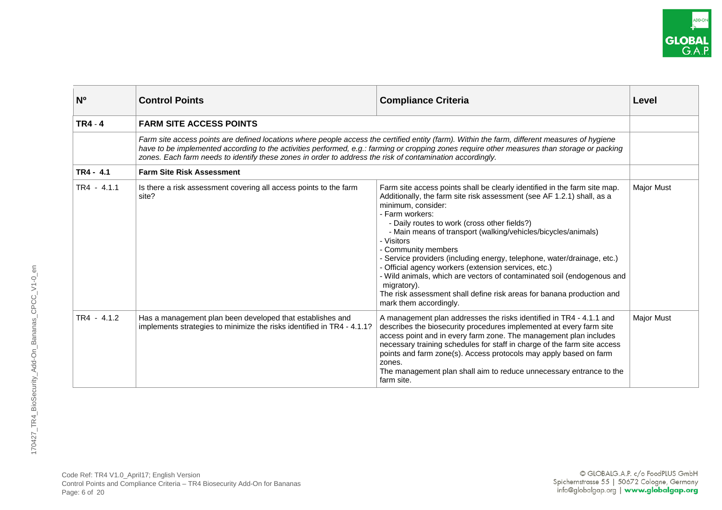| N <sup>o</sup> | <b>Control Points</b>                                                                                                                                                                                                                                                                                                                                                                                      | <b>Compliance Criteria</b>                                                                                                                                                                                                                                                                                                                                                                                                                                                                                                                                                                                                                                                        | Level             |
|----------------|------------------------------------------------------------------------------------------------------------------------------------------------------------------------------------------------------------------------------------------------------------------------------------------------------------------------------------------------------------------------------------------------------------|-----------------------------------------------------------------------------------------------------------------------------------------------------------------------------------------------------------------------------------------------------------------------------------------------------------------------------------------------------------------------------------------------------------------------------------------------------------------------------------------------------------------------------------------------------------------------------------------------------------------------------------------------------------------------------------|-------------------|
| <b>TR4 - 4</b> | <b>FARM SITE ACCESS POINTS</b>                                                                                                                                                                                                                                                                                                                                                                             |                                                                                                                                                                                                                                                                                                                                                                                                                                                                                                                                                                                                                                                                                   |                   |
|                | Farm site access points are defined locations where people access the certified entity (farm). Within the farm, different measures of hygiene<br>have to be implemented according to the activities performed, e.g.: farming or cropping zones require other measures than storage or packing<br>zones. Each farm needs to identify these zones in order to address the risk of contamination accordingly. |                                                                                                                                                                                                                                                                                                                                                                                                                                                                                                                                                                                                                                                                                   |                   |
| $TR4 - 4.1$    | <b>Farm Site Risk Assessment</b>                                                                                                                                                                                                                                                                                                                                                                           |                                                                                                                                                                                                                                                                                                                                                                                                                                                                                                                                                                                                                                                                                   |                   |
| $TR4 - 4.1.1$  | Is there a risk assessment covering all access points to the farm<br>site?                                                                                                                                                                                                                                                                                                                                 | Farm site access points shall be clearly identified in the farm site map.<br>Additionally, the farm site risk assessment (see AF 1.2.1) shall, as a<br>minimum, consider:<br>- Farm workers:<br>- Daily routes to work (cross other fields?)<br>- Main means of transport (walking/vehicles/bicycles/animals)<br>- Visitors<br>- Community members<br>- Service providers (including energy, telephone, water/drainage, etc.)<br>- Official agency workers (extension services, etc.)<br>- Wild animals, which are vectors of contaminated soil (endogenous and<br>migratory).<br>The risk assessment shall define risk areas for banana production and<br>mark them accordingly. | <b>Major Must</b> |
| $TR4 - 4.1.2$  | Has a management plan been developed that establishes and<br>implements strategies to minimize the risks identified in TR4 - 4.1.1?                                                                                                                                                                                                                                                                        | A management plan addresses the risks identified in TR4 - 4.1.1 and<br>describes the biosecurity procedures implemented at every farm site<br>access point and in every farm zone. The management plan includes<br>necessary training schedules for staff in charge of the farm site access<br>points and farm zone(s). Access protocols may apply based on farm<br>zones.<br>The management plan shall aim to reduce unnecessary entrance to the<br>farm site.                                                                                                                                                                                                                   | <b>Major Must</b> |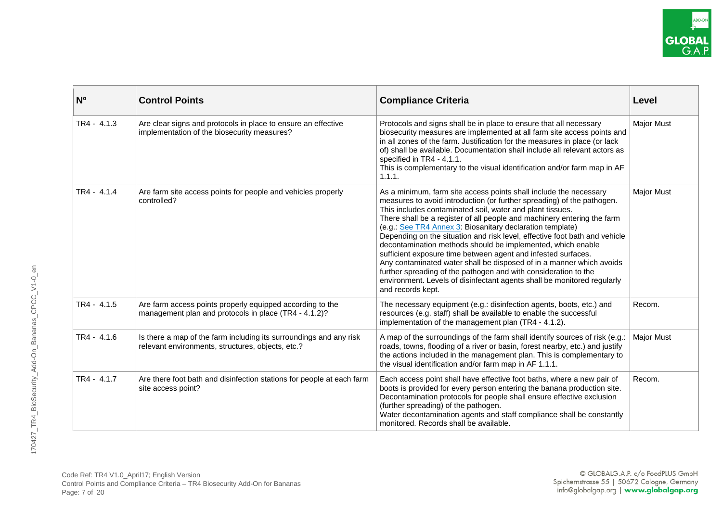| N <sub>0</sub> | <b>Control Points</b>                                                                                                   | <b>Compliance Criteria</b>                                                                                                                                                                                                                                                                                                                                                                                                                                                                                                                                                                                                                                                                                                                                                                                | Level             |
|----------------|-------------------------------------------------------------------------------------------------------------------------|-----------------------------------------------------------------------------------------------------------------------------------------------------------------------------------------------------------------------------------------------------------------------------------------------------------------------------------------------------------------------------------------------------------------------------------------------------------------------------------------------------------------------------------------------------------------------------------------------------------------------------------------------------------------------------------------------------------------------------------------------------------------------------------------------------------|-------------------|
| $TR4 - 4.1.3$  | Are clear signs and protocols in place to ensure an effective<br>implementation of the biosecurity measures?            | Protocols and signs shall be in place to ensure that all necessary<br>biosecurity measures are implemented at all farm site access points and<br>in all zones of the farm. Justification for the measures in place (or lack<br>of) shall be available. Documentation shall include all relevant actors as<br>specified in TR4 - 4.1.1.<br>This is complementary to the visual identification and/or farm map in AF<br>1.1.1.                                                                                                                                                                                                                                                                                                                                                                              | <b>Major Must</b> |
| $TR4 - 4.1.4$  | Are farm site access points for people and vehicles properly<br>controlled?                                             | As a minimum, farm site access points shall include the necessary<br>measures to avoid introduction (or further spreading) of the pathogen.<br>This includes contaminated soil, water and plant tissues.<br>There shall be a register of all people and machinery entering the farm<br>(e.g.: See TR4 Annex 3: Biosanitary declaration template)<br>Depending on the situation and risk level, effective foot bath and vehicle<br>decontamination methods should be implemented, which enable<br>sufficient exposure time between agent and infested surfaces.<br>Any contaminated water shall be disposed of in a manner which avoids<br>further spreading of the pathogen and with consideration to the<br>environment. Levels of disinfectant agents shall be monitored regularly<br>and records kept. | <b>Major Must</b> |
| $TR4 - 4.1.5$  | Are farm access points properly equipped according to the<br>management plan and protocols in place (TR4 - 4.1.2)?      | The necessary equipment (e.g.: disinfection agents, boots, etc.) and<br>resources (e.g. staff) shall be available to enable the successful<br>implementation of the management plan (TR4 - 4.1.2).                                                                                                                                                                                                                                                                                                                                                                                                                                                                                                                                                                                                        | Recom.            |
| TR4 - 4.1.6    | Is there a map of the farm including its surroundings and any risk<br>relevant environments, structures, objects, etc.? | A map of the surroundings of the farm shall identify sources of risk (e.g.:<br>roads, towns, flooding of a river or basin, forest nearby, etc.) and justify<br>the actions included in the management plan. This is complementary to<br>the visual identification and/or farm map in AF 1.1.1.                                                                                                                                                                                                                                                                                                                                                                                                                                                                                                            | <b>Major Must</b> |
| TR4 - 4.1.7    | Are there foot bath and disinfection stations for people at each farm<br>site access point?                             | Each access point shall have effective foot baths, where a new pair of<br>boots is provided for every person entering the banana production site.<br>Decontamination protocols for people shall ensure effective exclusion<br>(further spreading) of the pathogen.<br>Water decontamination agents and staff compliance shall be constantly<br>monitored. Records shall be available.                                                                                                                                                                                                                                                                                                                                                                                                                     | Recom.            |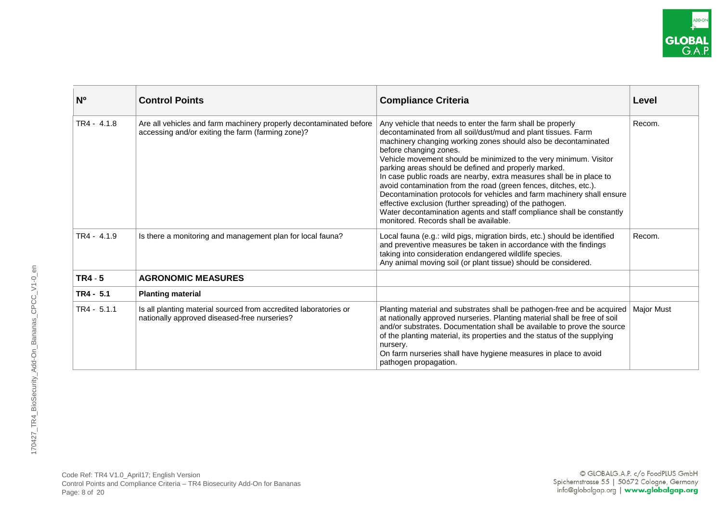| N <sup>o</sup> | <b>Control Points</b>                                                                                                   | <b>Compliance Criteria</b>                                                                                                                                                                                                                                                                                                                                                                                                                                                                                                                                                                                                                                                                                                                                | Level             |
|----------------|-------------------------------------------------------------------------------------------------------------------------|-----------------------------------------------------------------------------------------------------------------------------------------------------------------------------------------------------------------------------------------------------------------------------------------------------------------------------------------------------------------------------------------------------------------------------------------------------------------------------------------------------------------------------------------------------------------------------------------------------------------------------------------------------------------------------------------------------------------------------------------------------------|-------------------|
| $TR4 - 4.1.8$  | Are all vehicles and farm machinery properly decontaminated before<br>accessing and/or exiting the farm (farming zone)? | Any vehicle that needs to enter the farm shall be properly<br>decontaminated from all soil/dust/mud and plant tissues. Farm<br>machinery changing working zones should also be decontaminated<br>before changing zones.<br>Vehicle movement should be minimized to the very minimum. Visitor<br>parking areas should be defined and properly marked.<br>In case public roads are nearby, extra measures shall be in place to<br>avoid contamination from the road (green fences, ditches, etc.).<br>Decontamination protocols for vehicles and farm machinery shall ensure<br>effective exclusion (further spreading) of the pathogen.<br>Water decontamination agents and staff compliance shall be constantly<br>monitored. Records shall be available. | Recom.            |
| $TR4 - 4.1.9$  | Is there a monitoring and management plan for local fauna?                                                              | Local fauna (e.g.: wild pigs, migration birds, etc.) should be identified<br>and preventive measures be taken in accordance with the findings<br>taking into consideration endangered wildlife species.<br>Any animal moving soil (or plant tissue) should be considered.                                                                                                                                                                                                                                                                                                                                                                                                                                                                                 | Recom.            |
| $TR4 - 5$      | <b>AGRONOMIC MEASURES</b>                                                                                               |                                                                                                                                                                                                                                                                                                                                                                                                                                                                                                                                                                                                                                                                                                                                                           |                   |
| $TR4 - 5.1$    | <b>Planting material</b>                                                                                                |                                                                                                                                                                                                                                                                                                                                                                                                                                                                                                                                                                                                                                                                                                                                                           |                   |
| $TR4 - 5.1.1$  | Is all planting material sourced from accredited laboratories or<br>nationally approved diseased-free nurseries?        | Planting material and substrates shall be pathogen-free and be acquired<br>at nationally approved nurseries. Planting material shall be free of soil<br>and/or substrates. Documentation shall be available to prove the source<br>of the planting material, its properties and the status of the supplying<br>nursery.<br>On farm nurseries shall have hygiene measures in place to avoid<br>pathogen propagation.                                                                                                                                                                                                                                                                                                                                       | <b>Major Must</b> |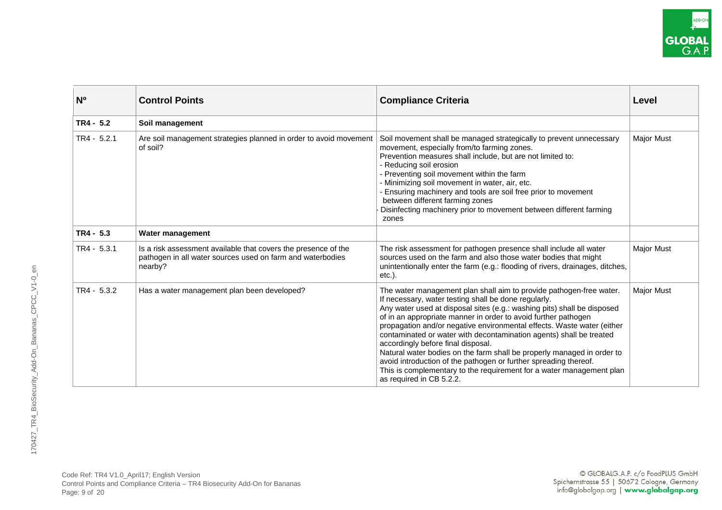| N <sup>o</sup> | <b>Control Points</b>                                                                                                                   | <b>Compliance Criteria</b>                                                                                                                                                                                                                                                                                                                                                                                                                                                                                                                                                                                                                                                                                        | Level             |
|----------------|-----------------------------------------------------------------------------------------------------------------------------------------|-------------------------------------------------------------------------------------------------------------------------------------------------------------------------------------------------------------------------------------------------------------------------------------------------------------------------------------------------------------------------------------------------------------------------------------------------------------------------------------------------------------------------------------------------------------------------------------------------------------------------------------------------------------------------------------------------------------------|-------------------|
| $TR4 - 5.2$    | Soil management                                                                                                                         |                                                                                                                                                                                                                                                                                                                                                                                                                                                                                                                                                                                                                                                                                                                   |                   |
| $TR4 - 5.2.1$  | Are soil management strategies planned in order to avoid movement<br>of soil?                                                           | Soil movement shall be managed strategically to prevent unnecessary<br>movement, especially from/to farming zones.<br>Prevention measures shall include, but are not limited to:<br>- Reducing soil erosion<br>- Preventing soil movement within the farm<br>- Minimizing soil movement in water, air, etc.<br>Ensuring machinery and tools are soil free prior to movement<br>between different farming zones<br>Disinfecting machinery prior to movement between different farming<br>zones                                                                                                                                                                                                                     | <b>Major Must</b> |
| $TR4 - 5.3$    | Water management                                                                                                                        |                                                                                                                                                                                                                                                                                                                                                                                                                                                                                                                                                                                                                                                                                                                   |                   |
| $TR4 - 5.3.1$  | Is a risk assessment available that covers the presence of the<br>pathogen in all water sources used on farm and waterbodies<br>nearby? | The risk assessment for pathogen presence shall include all water<br>sources used on the farm and also those water bodies that might<br>unintentionally enter the farm (e.g.: flooding of rivers, drainages, ditches,<br>$etc.$ ).                                                                                                                                                                                                                                                                                                                                                                                                                                                                                | <b>Major Must</b> |
| $TR4 - 5.3.2$  | Has a water management plan been developed?                                                                                             | The water management plan shall aim to provide pathogen-free water.<br>If necessary, water testing shall be done regularly.<br>Any water used at disposal sites (e.g.: washing pits) shall be disposed<br>of in an appropriate manner in order to avoid further pathogen<br>propagation and/or negative environmental effects. Waste water (either<br>contaminated or water with decontamination agents) shall be treated<br>accordingly before final disposal.<br>Natural water bodies on the farm shall be properly managed in order to<br>avoid introduction of the pathogen or further spreading thereof.<br>This is complementary to the requirement for a water management plan<br>as required in CB 5.2.2. | <b>Major Must</b> |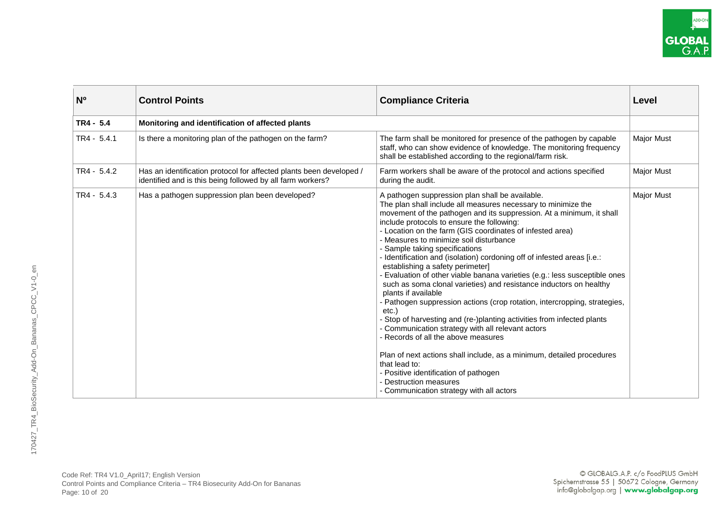| N <sub>o</sub> | <b>Control Points</b>                                                                                                             | <b>Compliance Criteria</b>                                                                                                                                                                                                                                                                                                                                                                                                                                                                                                                                                                                                                                                                                                                                                                                                                                                                                                                                                                                                                                                                                                                     | Level             |
|----------------|-----------------------------------------------------------------------------------------------------------------------------------|------------------------------------------------------------------------------------------------------------------------------------------------------------------------------------------------------------------------------------------------------------------------------------------------------------------------------------------------------------------------------------------------------------------------------------------------------------------------------------------------------------------------------------------------------------------------------------------------------------------------------------------------------------------------------------------------------------------------------------------------------------------------------------------------------------------------------------------------------------------------------------------------------------------------------------------------------------------------------------------------------------------------------------------------------------------------------------------------------------------------------------------------|-------------------|
| $TR4 - 5.4$    | Monitoring and identification of affected plants                                                                                  |                                                                                                                                                                                                                                                                                                                                                                                                                                                                                                                                                                                                                                                                                                                                                                                                                                                                                                                                                                                                                                                                                                                                                |                   |
| $TR4 - 5.4.1$  | Is there a monitoring plan of the pathogen on the farm?                                                                           | The farm shall be monitored for presence of the pathogen by capable<br>staff, who can show evidence of knowledge. The monitoring frequency<br>shall be established according to the regional/farm risk.                                                                                                                                                                                                                                                                                                                                                                                                                                                                                                                                                                                                                                                                                                                                                                                                                                                                                                                                        | <b>Major Must</b> |
| $TR4 - 5.4.2$  | Has an identification protocol for affected plants been developed /<br>identified and is this being followed by all farm workers? | Farm workers shall be aware of the protocol and actions specified<br>during the audit.                                                                                                                                                                                                                                                                                                                                                                                                                                                                                                                                                                                                                                                                                                                                                                                                                                                                                                                                                                                                                                                         | <b>Major Must</b> |
| $TR4 - 5.4.3$  | Has a pathogen suppression plan been developed?                                                                                   | A pathogen suppression plan shall be available.<br>The plan shall include all measures necessary to minimize the<br>movement of the pathogen and its suppression. At a minimum, it shall<br>include protocols to ensure the following:<br>- Location on the farm (GIS coordinates of infested area)<br>- Measures to minimize soil disturbance<br>- Sample taking specifications<br>- Identification and (isolation) cordoning off of infested areas [i.e.:<br>establishing a safety perimeter]<br>- Evaluation of other viable banana varieties (e.g.: less susceptible ones<br>such as soma clonal varieties) and resistance inductors on healthy<br>plants if available<br>- Pathogen suppression actions (crop rotation, intercropping, strategies,<br>etc.<br>- Stop of harvesting and (re-)planting activities from infected plants<br>- Communication strategy with all relevant actors<br>- Records of all the above measures<br>Plan of next actions shall include, as a minimum, detailed procedures<br>that lead to:<br>- Positive identification of pathogen<br>- Destruction measures<br>- Communication strategy with all actors | <b>Major Must</b> |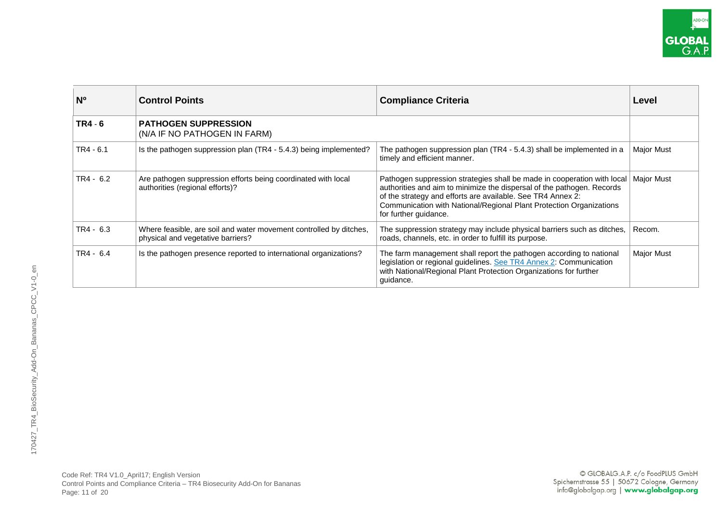| N <sup>o</sup> | <b>Control Points</b>                                                                                   | <b>Compliance Criteria</b>                                                                                                                                                                                                                                                                                       | Level             |
|----------------|---------------------------------------------------------------------------------------------------------|------------------------------------------------------------------------------------------------------------------------------------------------------------------------------------------------------------------------------------------------------------------------------------------------------------------|-------------------|
| $TR4 - 6$      | <b>PATHOGEN SUPPRESSION</b><br>(N/A IF NO PATHOGEN IN FARM)                                             |                                                                                                                                                                                                                                                                                                                  |                   |
| $TR4 - 6.1$    | Is the pathogen suppression plan (TR4 - 5.4.3) being implemented?                                       | The pathogen suppression plan (TR4 - 5.4.3) shall be implemented in a<br>timely and efficient manner.                                                                                                                                                                                                            | <b>Major Must</b> |
| $TR4 - 6.2$    | Are pathogen suppression efforts being coordinated with local<br>authorities (regional efforts)?        | Pathogen suppression strategies shall be made in cooperation with local<br>authorities and aim to minimize the dispersal of the pathogen. Records<br>of the strategy and efforts are available. See TR4 Annex 2:<br>Communication with National/Regional Plant Protection Organizations<br>for further guidance. | Major Must        |
| $TR4 - 6.3$    | Where feasible, are soil and water movement controlled by ditches,<br>physical and vegetative barriers? | The suppression strategy may include physical barriers such as ditches,<br>roads, channels, etc. in order to fulfill its purpose.                                                                                                                                                                                | Recom.            |
| $TR4 - 6.4$    | Is the pathogen presence reported to international organizations?                                       | The farm management shall report the pathogen according to national<br>legislation or regional guidelines. See TR4 Annex 2: Communication<br>with National/Regional Plant Protection Organizations for further<br>guidance.                                                                                      | <b>Major Must</b> |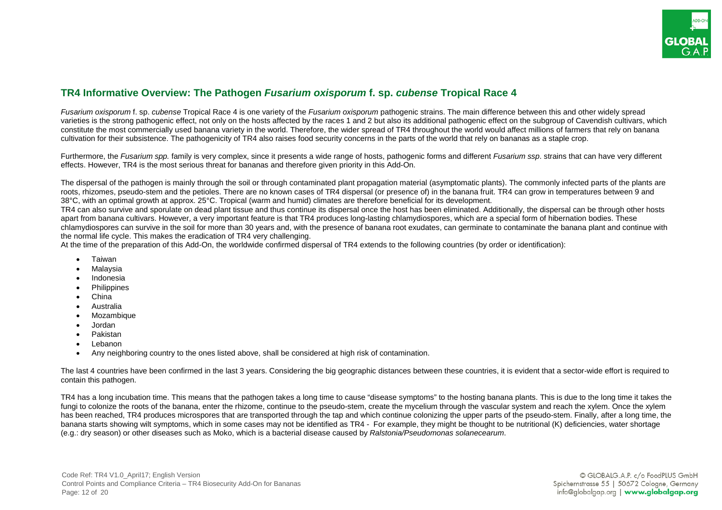

# <span id="page-11-0"></span>**TR4 Informative Overview: The Pathogen** *Fusarium oxisporum* **f. sp.** *cubense* **Tropical Race 4**

*Fusarium oxisporum* f. sp. *cubense* Tropical Race 4 is one variety of the *Fusarium oxisporum* pathogenic strains. The main difference between this and other widely spread varieties is the strong pathogenic effect, not only on the hosts affected by the races 1 and 2 but also its additional pathogenic effect on the subgroup of Cavendish cultivars, which constitute the most commercially used banana variety in the world. Therefore, the wider spread of TR4 throughout the world would affect millions of farmers that rely on banana cultivation for their subsistence. The pathogenicity of TR4 also raises food security concerns in the parts of the world that rely on bananas as a staple crop.

Furthermore, the *Fusarium spp.* family is very complex, since it presents a wide range of hosts, pathogenic forms and different *Fusarium ssp*. strains that can have very different effects. However, TR4 is the most serious threat for bananas and therefore given priority in this Add-On.

The dispersal of the pathogen is mainly through the soil or through contaminated plant propagation material (asymptomatic plants). The commonly infected parts of the plants are roots, rhizomes, pseudo-stem and the petioles. There are no known cases of TR4 dispersal (or presence of) in the banana fruit. TR4 can grow in temperatures between 9 and 38°C, with an optimal growth at approx. 25°C. Tropical (warm and humid) climates are therefore beneficial for its development.

TR4 can also survive and sporulate on dead plant tissue and thus continue its dispersal once the host has been eliminated. Additionally, the dispersal can be through other hosts apart from banana cultivars. However, a very important feature is that TR4 produces long-lasting chlamydiospores, which are a special form of hibernation bodies. These chlamydiospores can survive in the soil for more than 30 years and, with the presence of banana root exudates, can germinate to contaminate the banana plant and continue with the normal life cycle. This makes the eradication of TR4 very challenging.

At the time of the preparation of this Add-On, the worldwide confirmed dispersal of TR4 extends to the following countries (by order or identification):

- Taiwan
- **Malaysia**
- Indonesia
- Philippines
- China
- Australia
- **Mozambique**
- Jordan
- Pakistan
- Lebanon
- Any neighboring country to the ones listed above, shall be considered at high risk of contamination.

The last 4 countries have been confirmed in the last 3 years. Considering the big geographic distances between these countries, it is evident that a sector-wide effort is required to contain this pathogen.

TR4 has a long incubation time. This means that the pathogen takes a long time to cause "disease symptoms" to the hosting banana plants. This is due to the long time it takes the fungi to colonize the roots of the banana, enter the rhizome, continue to the pseudo-stem, create the mycelium through the vascular system and reach the xylem. Once the xylem has been reached, TR4 produces microspores that are transported through the tap and which continue colonizing the upper parts of the pseudo-stem. Finally, after a long time, the banana starts showing wilt symptoms, which in some cases may not be identified as TR4 - For example, they might be thought to be nutritional (K) deficiencies, water shortage (e.g.: dry season) or other diseases such as Moko, which is a bacterial disease caused by *Ralstonia/Pseudomonas solanecearum*.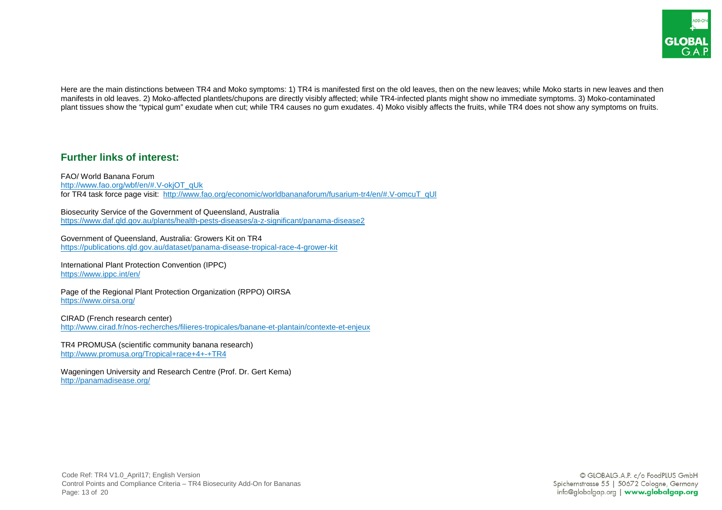

Here are the main distinctions between TR4 and Moko symptoms: 1) TR4 is manifested first on the old leaves, then on the new leaves; while Moko starts in new leaves and then manifests in old leaves. 2) Moko-affected plantlets/chupons are directly visibly affected; while TR4-infected plants might show no immediate symptoms. 3) Moko-contaminated plant tissues show the "typical gum" exudate when cut; while TR4 causes no gum exudates. 4) Moko visibly affects the fruits, while TR4 does not show any symptoms on fruits.

## <span id="page-12-0"></span>**Further links of interest:**

FAO/ World Banana Forum [http://www.fao.org/wbf/en/#.V-okjOT\\_qUk](http://www.fao.org/wbf/en/#.V-okjOT_qUk)  for TR4 task force page visit: [http://www.fao.org/economic/worldbananaforum/fusarium-tr4/en/#.V-omcuT\\_qUl](http://www.fao.org/economic/worldbananaforum/fusarium-tr4/en/#.V-omcuT_qUl) 

Biosecurity Service of the Government of Queensland, Australia <https://www.daf.qld.gov.au/plants/health-pests-diseases/a-z-significant/panama-disease2>

Government of Queensland, Australia: Growers Kit on TR4 <https://publications.qld.gov.au/dataset/panama-disease-tropical-race-4-grower-kit>

International Plant Protection Convention (IPPC) <https://www.ippc.int/en/>

Page of the Regional Plant Protection Organization (RPPO) OIRSA <https://www.oirsa.org/>

CIRAD (French research center) <http://www.cirad.fr/nos-recherches/filieres-tropicales/banane-et-plantain/contexte-et-enjeux>

TR4 PROMUSA (scientific community banana research) <http://www.promusa.org/Tropical+race+4+-+TR4>

Wageningen University and Research Centre (Prof. Dr. Gert Kema) <http://panamadisease.org/>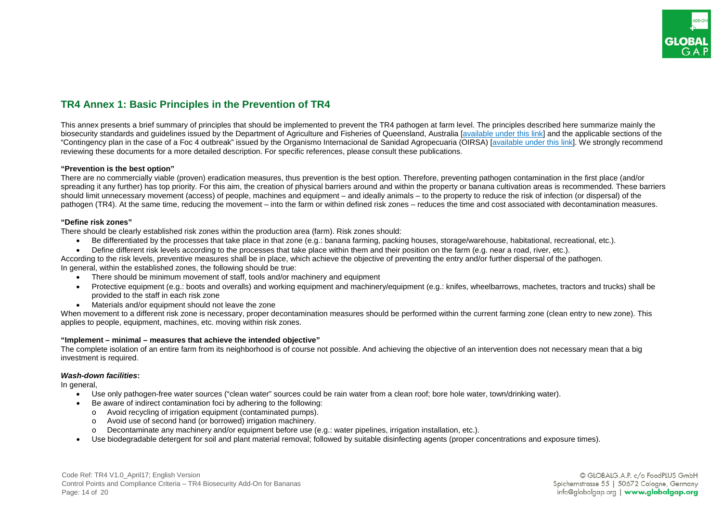# <span id="page-13-0"></span>**TR4 Annex 1: Basic Principles in the Prevention of TR4**

This annex presents a brief summary of principles that should be implemented to prevent the TR4 pathogen at farm level. The principles described here summarize mainly the biosecurity standards and guidelines issued by the Department of Agriculture and Fisheries of Queensland, Australia [\[available under this link\]](https://publications.qld.gov.au/dataset/panama-disease-tropical-race-4-grower-kit) and the applicable sections of the "Contingency plan in the case of a Foc 4 outbreak" issued by the Organismo Internacional de Sanidad Agropecuaria (OIRSA) [\[available under this link\]](https://www.oirsa.org/informacion.aspx?id=86). We strongly recommend reviewing these documents for a more detailed description. For specific references, please consult these publications.

#### **"Prevention is the best option"**

There are no commercially viable (proven) eradication measures, thus prevention is the best option. Therefore, preventing pathogen contamination in the first place (and/or spreading it any further) has top priority. For this aim, the creation of physical barriers around and within the property or banana cultivation areas is recommended. These barriers should limit unnecessary movement (access) of people, machines and equipment – and ideally animals – to the property to reduce the risk of infection (or dispersal) of the pathogen (TR4). At the same time, reducing the movement – into the farm or within defined risk zones – reduces the time and cost associated with decontamination measures.

#### **"Define risk zones"**

There should be clearly established risk zones within the production area (farm). Risk zones should:

- Be differentiated by the processes that take place in that zone (e.g.: banana farming, packing houses, storage/warehouse, habitational, recreational, etc.).
- Define different risk levels according to the processes that take place within them and their position on the farm (e.g. near a road, river, etc.).

According to the risk levels, preventive measures shall be in place, which achieve the objective of preventing the entry and/or further dispersal of the pathogen. In general, within the established zones, the following should be true:

- There should be minimum movement of staff, tools and/or machinery and equipment
- Protective equipment (e.g.: boots and overalls) and working equipment and machinery/equipment (e.g.: knifes, wheelbarrows, machetes, tractors and trucks) shall be provided to the staff in each risk zone
- Materials and/or equipment should not leave the zone

When movement to a different risk zone is necessary, proper decontamination measures should be performed within the current farming zone (clean entry to new zone). This applies to people, equipment, machines, etc. moving within risk zones.

#### **"Implement – minimal – measures that achieve the intended objective"**

The complete isolation of an entire farm from its neighborhood is of course not possible. And achieving the objective of an intervention does not necessary mean that a big investment is required.

#### *Wash-down facilities***:**

In general,

- Use only pathogen-free water sources ("clean water" sources could be rain water from a clean roof; bore hole water, town/drinking water).
- Be aware of indirect contamination foci by adhering to the following:
	- o Avoid recycling of irrigation equipment (contaminated pumps).
	- o Avoid use of second hand (or borrowed) irrigation machinery.
	- o Decontaminate any machinery and/or equipment before use (e.g.: water pipelines, irrigation installation, etc.).
- Use biodegradable detergent for soil and plant material removal; followed by suitable disinfecting agents (proper concentrations and exposure times).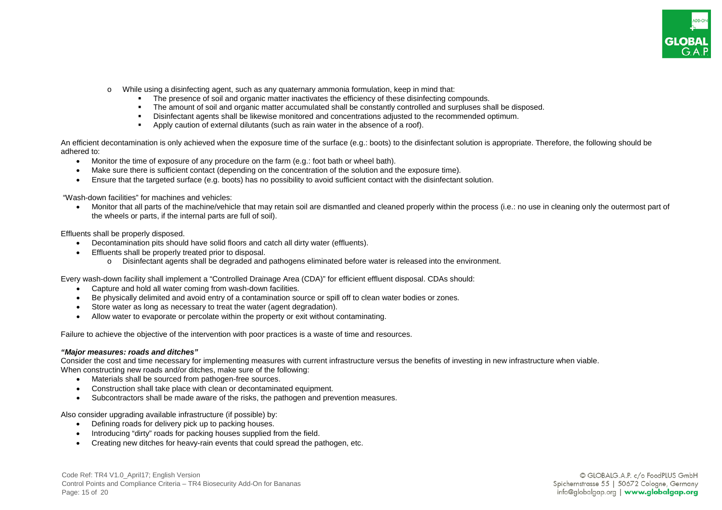

- While using a disinfecting agent, such as any quaternary ammonia formulation, keep in mind that:
	- The presence of soil and organic matter inactivates the efficiency of these disinfecting compounds.
	- The amount of soil and organic matter accumulated shall be constantly controlled and surpluses shall be disposed.
	- Disinfectant agents shall be likewise monitored and concentrations adjusted to the recommended optimum.
	- Apply caution of external dilutants (such as rain water in the absence of a roof).

An efficient decontamination is only achieved when the exposure time of the surface (e.g.: boots) to the disinfectant solution is appropriate. Therefore, the following should be adhered to:

- Monitor the time of exposure of any procedure on the farm (e.g.: foot bath or wheel bath).
- Make sure there is sufficient contact (depending on the concentration of the solution and the exposure time).
- Ensure that the targeted surface (e.g. boots) has no possibility to avoid sufficient contact with the disinfectant solution.

"Wash-down facilities" for machines and vehicles:

• Monitor that all parts of the machine/vehicle that may retain soil are dismantled and cleaned properly within the process (i.e.: no use in cleaning only the outermost part of the wheels or parts, if the internal parts are full of soil).

Effluents shall be properly disposed.

- Decontamination pits should have solid floors and catch all dirty water (effluents).
- Effluents shall be properly treated prior to disposal.
	- o Disinfectant agents shall be degraded and pathogens eliminated before water is released into the environment.

Every wash-down facility shall implement a "Controlled Drainage Area (CDA)" for efficient effluent disposal. CDAs should:

- Capture and hold all water coming from wash-down facilities.
- Be physically delimited and avoid entry of a contamination source or spill off to clean water bodies or zones.
- Store water as long as necessary to treat the water (agent degradation).
- Allow water to evaporate or percolate within the property or exit without contaminating.

Failure to achieve the objective of the intervention with poor practices is a waste of time and resources.

#### *"Major measures: roads and ditches"*

Consider the cost and time necessary for implementing measures with current infrastructure versus the benefits of investing in new infrastructure when viable. When constructing new roads and/or ditches, make sure of the following:

- Materials shall be sourced from pathogen-free sources.
- Construction shall take place with clean or decontaminated equipment.
- Subcontractors shall be made aware of the risks, the pathogen and prevention measures.

Also consider upgrading available infrastructure (if possible) by:

- Defining roads for delivery pick up to packing houses.
- Introducing "dirty" roads for packing houses supplied from the field.
- Creating new ditches for heavy-rain events that could spread the pathogen, etc.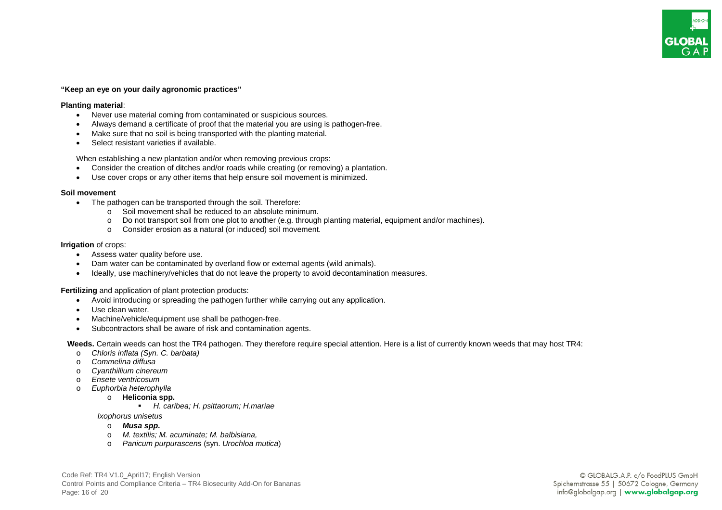# **GLOBAI**

#### **"Keep an eye on your daily agronomic practices"**

#### **Planting material**:

- Never use material coming from contaminated or suspicious sources.
- Always demand a certificate of proof that the material you are using is pathogen-free.
- Make sure that no soil is being transported with the planting material.
- Select resistant varieties if available.

When establishing a new plantation and/or when removing previous crops:

- Consider the creation of ditches and/or roads while creating (or removing) a plantation.
- Use cover crops or any other items that help ensure soil movement is minimized.

#### **Soil movement**

- The pathogen can be transported through the soil. Therefore:
	- o Soil movement shall be reduced to an absolute minimum.
	- o Do not transport soil from one plot to another (e.g. through planting material, equipment and/or machines).
	- o Consider erosion as a natural (or induced) soil movement.

#### **Irrigation** of crops:

- Assess water quality before use.
- Dam water can be contaminated by overland flow or external agents (wild animals).
- Ideally, use machinery/vehicles that do not leave the property to avoid decontamination measures.

#### **Fertilizing** and application of plant protection products:

- Avoid introducing or spreading the pathogen further while carrying out any application.
- Use clean water.
- Machine/vehicle/equipment use shall be pathogen-free.
- Subcontractors shall be aware of risk and contamination agents.

 **Weeds.** Certain weeds can host the TR4 pathogen. They therefore require special attention. Here is a list of currently known weeds that may host TR4:

- o *Chloris inflata (Syn. C. barbata)*
- o *Commelina diffusa*
- o *Cyanthillium cinereum*
- o *Ensete ventricosum*
- o *Euphorbia heterophylla* 
	- o **Heliconia spp.** 
		- *H. caribea; H. psittaorum; H.mariae*

*Ixophorus unisetus* 

- o *Musa spp.*
- o *M. textilis; M. acuminate; M. balbisiana,*
- o *Panicum purpurascens* (syn. *Urochloa mutica*)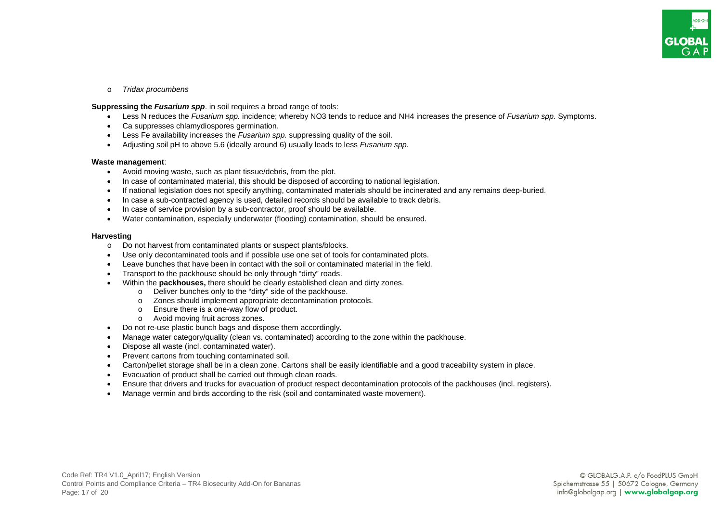

o *Tridax procumbens*

**Suppressing the** *Fusarium spp*. in soil requires a broad range of tools:

- Less N reduces the *Fusarium spp.* incidence; whereby NO3 tends to reduce and NH4 increases the presence of *Fusarium spp.* Symptoms.
- Ca suppresses chlamydiospores germination.
- Less Fe availability increases the *Fusarium spp.* suppressing quality of the soil.
- Adjusting soil pH to above 5.6 (ideally around 6) usually leads to less *Fusarium spp*.

#### **Waste management**:

- Avoid moving waste, such as plant tissue/debris, from the plot.
- In case of contaminated material, this should be disposed of according to national legislation.
- If national legislation does not specify anything, contaminated materials should be incinerated and any remains deep-buried.
- In case a sub-contracted agency is used, detailed records should be available to track debris.
- In case of service provision by a sub-contractor, proof should be available.
- Water contamination, especially underwater (flooding) contamination, should be ensured.

#### **Harvesting**

- o Do not harvest from contaminated plants or suspect plants/blocks.
- Use only decontaminated tools and if possible use one set of tools for contaminated plots.
- Leave bunches that have been in contact with the soil or contaminated material in the field.
- Transport to the packhouse should be only through "dirty" roads.
- Within the **packhouses,** there should be clearly established clean and dirty zones.
	- o Deliver bunches only to the "dirty" side of the packhouse.
	- o Zones should implement appropriate decontamination protocols.
	- o Ensure there is a one-way flow of product.
	- o Avoid moving fruit across zones.
- Do not re-use plastic bunch bags and dispose them accordingly.
- Manage water category/quality (clean vs. contaminated) according to the zone within the packhouse.
- Dispose all waste (incl. contaminated water).
- Prevent cartons from touching contaminated soil.
- Carton/pellet storage shall be in a clean zone. Cartons shall be easily identifiable and a good traceability system in place.
- Evacuation of product shall be carried out through clean roads.
- Ensure that drivers and trucks for evacuation of product respect decontamination protocols of the packhouses (incl. registers).
- Manage vermin and birds according to the risk (soil and contaminated waste movement).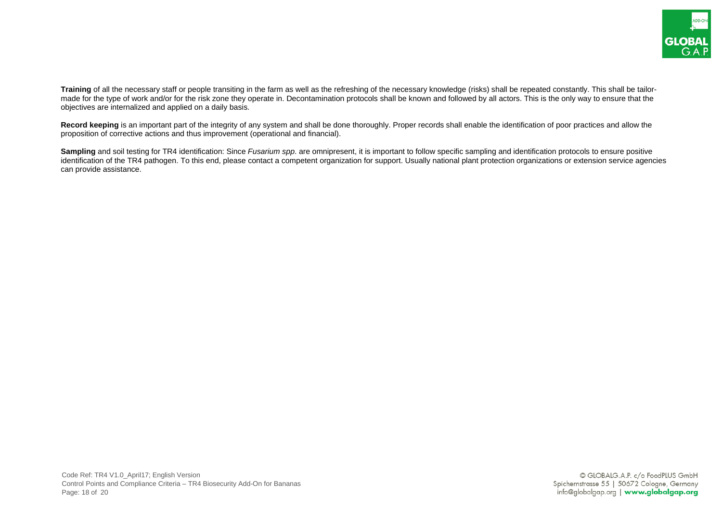

**Training** of all the necessary staff or people transiting in the farm as well as the refreshing of the necessary knowledge (risks) shall be repeated constantly. This shall be tailormade for the type of work and/or for the risk zone they operate in. Decontamination protocols shall be known and followed by all actors. This is the only way to ensure that the objectives are internalized and applied on a daily basis.

**Record keeping** is an important part of the integrity of any system and shall be done thoroughly. Proper records shall enable the identification of poor practices and allow the proposition of corrective actions and thus improvement (operational and financial).

**Sampling** and soil testing for TR4 identification: Since *Fusarium spp*. are omnipresent, it is important to follow specific sampling and identification protocols to ensure positive identification of the TR4 pathogen. To this end, please contact a competent organization for support. Usually national plant protection organizations or extension service agencies can provide assistance.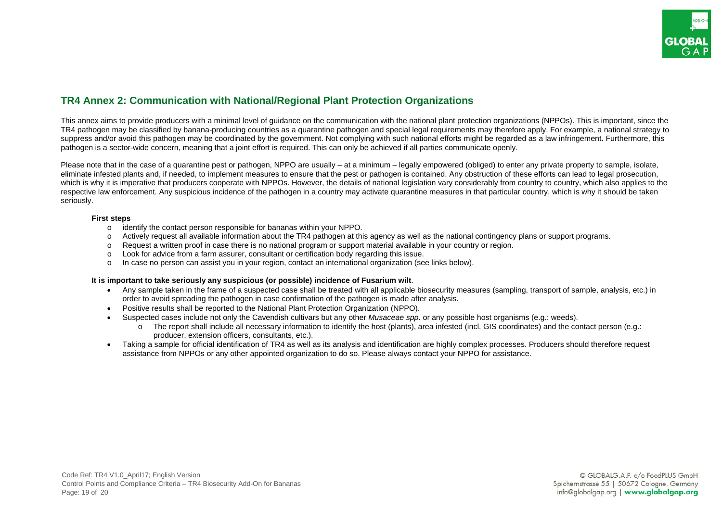# <span id="page-18-0"></span>**TR4 Annex 2: Communication with National/Regional Plant Protection Organizations**

This annex aims to provide producers with a minimal level of guidance on the communication with the national plant protection organizations (NPPOs). This is important, since the TR4 pathogen may be classified by banana-producing countries as a quarantine pathogen and special legal requirements may therefore apply. For example, a national strategy to suppress and/or avoid this pathogen may be coordinated by the government. Not complying with such national efforts might be regarded as a law infringement. Furthermore, this pathogen is a sector-wide concern, meaning that a joint effort is required. This can only be achieved if all parties communicate openly.

Please note that in the case of a quarantine pest or pathogen, NPPO are usually – at a minimum – legally empowered (obliged) to enter any private property to sample, isolate, eliminate infested plants and, if needed, to implement measures to ensure that the pest or pathogen is contained. Any obstruction of these efforts can lead to legal prosecution, which is why it is imperative that producers cooperate with NPPOs. However, the details of national legislation vary considerably from country to country, which also applies to the respective law enforcement. Any suspicious incidence of the pathogen in a country may activate quarantine measures in that particular country, which is why it should be taken seriously.

#### **First steps**

- o identify the contact person responsible for bananas within your NPPO.
- Actively request all available information about the TR4 pathogen at this agency as well as the national contingency plans or support programs.
- o Request a written proof in case there is no national program or support material available in your country or region.
- o Look for advice from a farm assurer, consultant or certification body regarding this issue.<br>
In case no person can assist you in your region, contact an international organization (se
- In case no person can assist you in your region, contact an international organization (see links below).

#### **It is important to take seriously any suspicious (or possible) incidence of Fusarium wilt**.

- Any sample taken in the frame of a suspected case shall be treated with all applicable biosecurity measures (sampling, transport of sample, analysis, etc.) in order to avoid spreading the pathogen in case confirmation of the pathogen is made after analysis.
- Positive results shall be reported to the National Plant Protection Organization (NPPO).
- Suspected cases include not only the Cavendish cultivars but any other *Musaceae spp*. or any possible host organisms (e.g.: weeds).
	- o The report shall include all necessary information to identify the host (plants), area infested (incl. GIS coordinates) and the contact person (e.g.: producer, extension officers, consultants, etc.).
- Taking a sample for official identification of TR4 as well as its analysis and identification are highly complex processes. Producers should therefore request assistance from NPPOs or any other appointed organization to do so. Please always contact your NPPO for assistance.